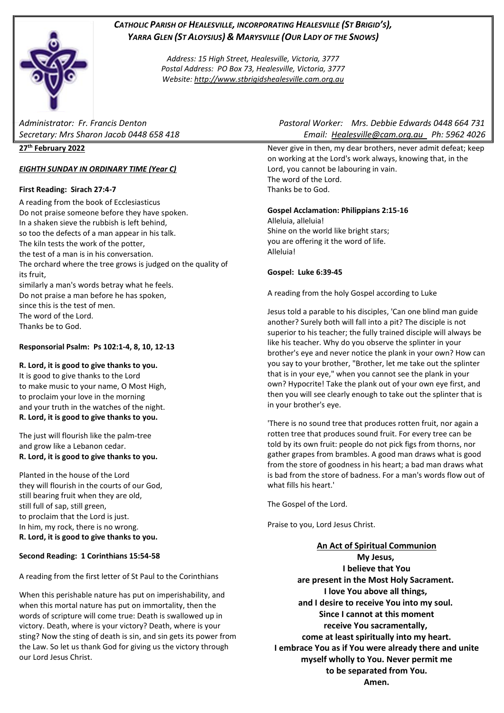# *CATHOLIC PARISH OF HEALESVILLE, INCORPORATING HEALESVILLE (ST BRIGID'S), YARRA GLEN (ST ALOYSIUS) & MARYSVILLE (OUR LADY OF THE SNOWS)*

*Address: 15 High Street, Healesville, Victoria, 3777 Postal Address: PO Box 73, Healesville, Victoria, 3777 Website: [http://www.stbrigidshealesville.cam.org.au](http://www.stbrigidshealesville.cam.org.au/)*

## **27 th February 2022**

## *EIGHTH SUNDAY IN ORDINARY TIME (Year C)*

## **First Reading: Sirach 27:4-7**

A reading from the book of Ecclesiasticus Do not praise someone before they have spoken. In a shaken sieve the rubbish is left behind, so too the defects of a man appear in his talk. The kiln tests the work of the potter, the test of a man is in his conversation. The orchard where the tree grows is judged on the quality of its fruit, similarly a man's words betray what he feels. Do not praise a man before he has spoken, since this is the test of men. The word of the Lord. Thanks be to God.

## **Responsorial Psalm: Ps 102:1-4, 8, 10, 12-13**

#### **R. Lord, it is good to give thanks to you.**

It is good to give thanks to the Lord to make music to your name, O Most High, to proclaim your love in the morning and your truth in the watches of the night. **R. Lord, it is good to give thanks to you.**

The just will flourish like the palm-tree and grow like a Lebanon cedar. **R. Lord, it is good to give thanks to you.**

Planted in the house of the Lord they will flourish in the courts of our God, still bearing fruit when they are old, still full of sap, still green, to proclaim that the Lord is just. In him, my rock, there is no wrong. **R. Lord, it is good to give thanks to you.**

#### **Second Reading: 1 Corinthians 15:54-58**

A reading from the first letter of St Paul to the Corinthians

When this perishable nature has put on imperishability, and when this mortal nature has put on immortality, then the words of scripture will come true: Death is swallowed up in victory. Death, where is your victory? Death, where is your sting? Now the sting of death is sin, and sin gets its power from the Law. So let us thank God for giving us the victory through our Lord Jesus Christ.

*Administrator: Fr. Francis Denton Pastoral Worker: Mrs. Debbie Edwards 0448 664 731 Secretary: Mrs Sharon Jacob 0448 658 418 Email: [Healesville@cam.org.au](mailto:Healesville@cam.org.au) Ph: 5962 4026* 

> Never give in then, my dear brothers, never admit defeat; keep on working at the Lord's work always, knowing that, in the Lord, you cannot be labouring in vain. The word of the Lord. Thanks be to God.

## **Gospel Acclamation: Philippians 2:15-16**

Alleluia, alleluia! Shine on the world like bright stars; you are offering it the word of life. Alleluia!

#### **Gospel: Luke 6:39-45**

A reading from the holy Gospel according to Luke

Jesus told a parable to his disciples, 'Can one blind man guide another? Surely both will fall into a pit? The disciple is not superior to his teacher; the fully trained disciple will always be like his teacher. Why do you observe the splinter in your brother's eye and never notice the plank in your own? How can you say to your brother, "Brother, let me take out the splinter that is in your eye," when you cannot see the plank in your own? Hypocrite! Take the plank out of your own eye first, and then you will see clearly enough to take out the splinter that is in your brother's eye.

'There is no sound tree that produces rotten fruit, nor again a rotten tree that produces sound fruit. For every tree can be told by its own fruit: people do not pick figs from thorns, nor gather grapes from brambles. A good man draws what is good from the store of goodness in his heart; a bad man draws what is bad from the store of badness. For a man's words flow out of what fills his heart.'

The Gospel of the Lord.

Praise to you, Lord Jesus Christ.

## **An Act of Spiritual Communion**

**My Jesus, I believe that You are present in the Most Holy Sacrament. I love You above all things, and I desire to receive You into my soul. Since I cannot at this moment receive You sacramentally, come at least spiritually into my heart. I embrace You as if You were already there and unite myself wholly to You. Never permit me to be separated from You. Amen.**

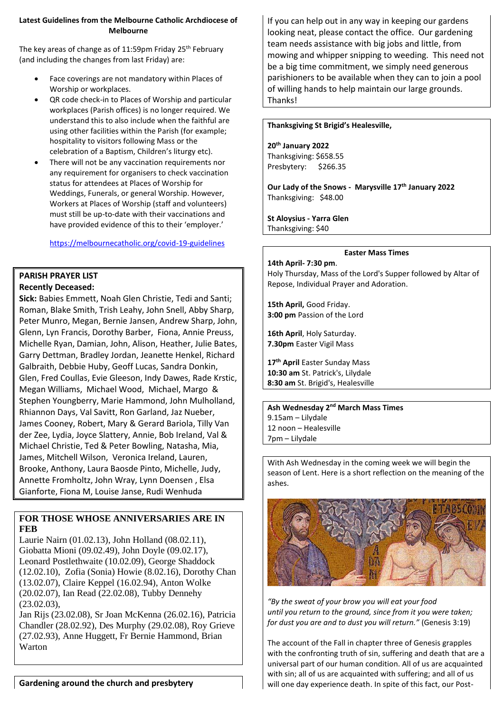## **Latest Guidelines from the Melbourne Catholic Archdiocese of Melbourne**

The key areas of change as of 11:59pm Friday 25<sup>th</sup> February (and including the changes from last Friday) are:

- Face coverings are not mandatory within Places of Worship or workplaces.
- QR code check-in to Places of Worship and particular workplaces (Parish offices) is no longer required. We understand this to also include when the faithful are using other facilities within the Parish (for example; hospitality to visitors following Mass or the celebration of a Baptism, Children's liturgy etc).
- There will not be any vaccination requirements nor any requirement for organisers to check vaccination status for attendees at Places of Worship for Weddings, Funerals, or general Worship. However, Workers at Places of Worship (staff and volunteers) must still be up-to-date with their vaccinations and have provided evidence of this to their 'employer.'

<https://melbournecatholic.org/covid-19-guidelines>

## **PARISH PRAYER LIST Recently Deceased:**

**Sick:** Babies Emmett, Noah Glen Christie, Tedi and Santi; Roman, Blake Smith, Trish Leahy, John Snell, Abby Sharp, Peter Munro, Megan, Bernie Jansen, Andrew Sharp, John, Glenn, Lyn Francis, Dorothy Barber, Fiona, Annie Preuss, Michelle Ryan, Damian, John, Alison, Heather, Julie Bates, Garry Dettman, Bradley Jordan, Jeanette Henkel, Richard Galbraith, Debbie Huby, Geoff Lucas, Sandra Donkin, Glen, Fred Coullas, Evie Gleeson, Indy Dawes, Rade Krstic, Megan Williams, Michael Wood, Michael, Margo & Stephen Youngberry, Marie Hammond, John Mulholland, Rhiannon Days, Val Savitt, Ron Garland, Jaz Nueber, James Cooney, Robert, Mary & Gerard Bariola, Tilly Van der Zee, Lydia, Joyce Slattery, Annie, Bob Ireland, Val & Michael Christie, Ted & Peter Bowling, Natasha, Mia, James, Mitchell Wilson, Veronica Ireland, Lauren, Brooke, Anthony, Laura Baosde Pinto, Michelle, Judy, Annette Fromholtz, John Wray, Lynn Doensen , Elsa Gianforte, Fiona M, Louise Janse, Rudi Wenhuda

# **FOR THOSE WHOSE ANNIVERSARIES ARE IN FEB**

Laurie Nairn (01.02.13), John Holland (08.02.11), Giobatta Mioni (09.02.49), John Doyle (09.02.17), Leonard Postlethwaite (10.02.09), George Shaddock (12.02.10), Zofia (Sonia) Howie (8.02.16), Dorothy Chan (13.02.07), Claire Keppel (16.02.94), Anton Wolke (20.02.07), Ian Read (22.02.08), Tubby Dennehy (23.02.03),

Jan Rijs (23.02.08), Sr Joan McKenna (26.02.16), Patricia Chandler (28.02.92), Des Murphy (29.02.08), Roy Grieve (27.02.93), Anne Huggett, Fr Bernie Hammond, Brian Warton

If you can help out in any way in keeping our gardens looking neat, please contact the office. Our gardening team needs assistance with big jobs and little, from mowing and whipper snipping to weeding. This need not be a big time commitment, we simply need generous parishioners to be available when they can to join a pool of willing hands to help maintain our large grounds. Thanks!

#### **Thanksgiving St Brigid's Healesville,**

#### **20th January 2022**

Thanksgiving: \$658.55 Presbytery: \$266.35

**Our Lady of the Snows - Marysville 17th January 2022** Thanksgiving: \$48.00

#### **St Aloysius - Yarra Glen**  Thanksgiving: \$40

#### **Easter Mass Times**

#### **14th April- 7:30 pm**.

Holy Thursday, Mass of the Lord's Supper followed by Altar of Repose, Individual Prayer and Adoration.

**15th April,** Good Friday. **3:00 pm** Passion of the Lord

**16th April**, Holy Saturday. **7.30pm** Easter Vigil Mass

**17th April** Easter Sunday Mass **10:30 am** St. Patrick's, Lilydale **8:30 am** St. Brigid's, Healesville

**Ash Wednesday 2nd March Mass Times**  9.15am – Lilydale 12 noon – Healesville 7pm – Lilydale

With Ash Wednesday in the coming week we will begin the season of Lent. Here is a short reflection on the meaning of the ashes.



*"By the sweat of your brow you will eat your food until you return to the ground, since from it you were taken; for dust you are and to dust you will return."* (Genesis 3:19)

The account of the Fall in chapter three of Genesis grapples with the confronting truth of sin, suffering and death that are a universal part of our human condition. All of us are acquainted with sin; all of us are acquainted with suffering; and all of us will one day experience death. In spite of this fact, our Post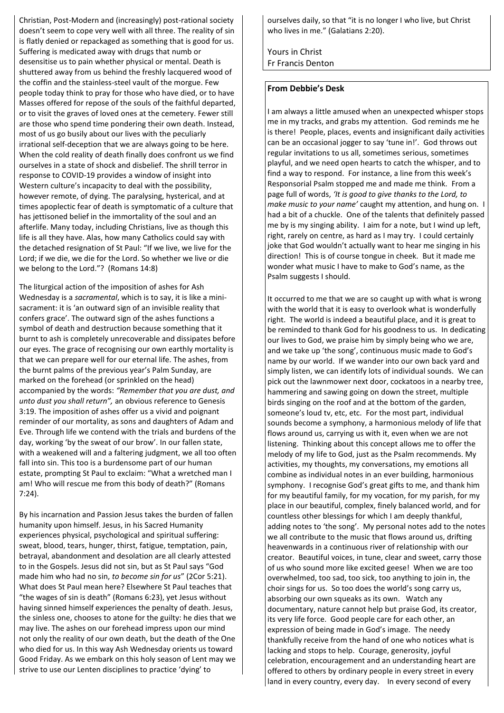Christian, Post-Modern and (increasingly) post-rational society doesn't seem to cope very well with all three. The reality of sin is flatly denied or repackaged as something that is good for us. Suffering is medicated away with drugs that numb or desensitise us to pain whether physical or mental. Death is shuttered away from us behind the freshly lacquered wood of the coffin and the stainless-steel vault of the morgue. Few people today think to pray for those who have died, or to have Masses offered for repose of the souls of the faithful departed, or to visit the graves of loved ones at the cemetery. Fewer still are those who spend time pondering their own death. Instead, most of us go busily about our lives with the peculiarly irrational self-deception that we are always going to be here. When the cold reality of death finally does confront us we find ourselves in a state of shock and disbelief. The shrill terror in response to COVID-19 provides a window of insight into Western culture's incapacity to deal with the possibility, however remote, of dying. The paralysing, hysterical, and at times apoplectic fear of death is symptomatic of a culture that has jettisoned belief in the immortality of the soul and an afterlife. Many today, including Christians, live as though this life is all they have. Alas, how many Catholics could say with the detached resignation of St Paul: "If we live, we live for the Lord; if we die, we die for the Lord. So whether we live or die we belong to the Lord."? (Romans 14:8)

The liturgical action of the imposition of ashes for Ash Wednesday is a *sacramental*, which is to say, it is like a minisacrament: it is 'an outward sign of an invisible reality that confers grace'. The outward sign of the ashes functions a symbol of death and destruction because something that it burnt to ash is completely unrecoverable and dissipates before our eyes. The grace of recognising our own earthly mortality is that we can prepare well for our eternal life. The ashes, from the burnt palms of the previous year's Palm Sunday, are marked on the forehead (or sprinkled on the head) accompanied by the words: *"Remember that you are dust, and unto dust you shall return",* an obvious reference to Genesis 3:19. The imposition of ashes offer us a vivid and poignant reminder of our mortality, as sons and daughters of Adam and Eve. Through life we contend with the trials and burdens of the day, working 'by the sweat of our brow'. In our fallen state, with a weakened will and a faltering judgment, we all too often fall into sin. This too is a burdensome part of our human estate, prompting St Paul to exclaim: "What a wretched man I am! Who will rescue me from this body of death?" (Romans 7:24).

By his incarnation and Passion Jesus takes the burden of fallen humanity upon himself. Jesus, in his Sacred Humanity experiences physical, psychological and spiritual suffering: sweat, blood, tears, hunger, thirst, fatigue, temptation, pain, betrayal, abandonment and desolation are all clearly attested to in the Gospels. Jesus did not sin, but as St Paul says "God made him who had no sin, *to become sin for us*" (2Cor 5:21). What does St Paul mean here? Elsewhere St Paul teaches that "the wages of sin is death" (Romans 6:23), yet Jesus without having sinned himself experiences the penalty of death. Jesus, the sinless one, chooses to atone for the guilty: he dies that we may live. The ashes on our forehead impress upon our mind not only the reality of our own death, but the death of the One who died for us. In this way Ash Wednesday orients us toward Good Friday. As we embark on this holy season of Lent may we strive to use our Lenten disciplines to practice 'dying' to

ourselves daily, so that "it is no longer I who live, but Christ who lives in me." (Galatians 2:20).

Yours in Christ Fr Francis Denton

## **From Debbie's Desk**

I am always a little amused when an unexpected whisper stops me in my tracks, and grabs my attention. God reminds me he is there! People, places, events and insignificant daily activities can be an occasional jogger to say 'tune in!'. God throws out regular invitations to us all, sometimes serious, sometimes playful, and we need open hearts to catch the whisper, and to find a way to respond. For instance, a line from this week's Responsorial Psalm stopped me and made me think. From a page full of words, *'It is good to give thanks to the Lord, to make music to your name'* caught my attention, and hung on. I had a bit of a chuckle. One of the talents that definitely passed me by is my singing ability. I aim for a note, but I wind up left, right, rarely on centre, as hard as I may try. I could certainly joke that God wouldn't actually want to hear me singing in his direction! This is of course tongue in cheek. But it made me wonder what music I have to make to God's name, as the Psalm suggests I should.

It occurred to me that we are so caught up with what is wrong with the world that it is easy to overlook what is wonderfully right. The world is indeed a beautiful place, and it is great to be reminded to thank God for his goodness to us. In dedicating our lives to God, we praise him by simply being who we are, and we take up 'the song', continuous music made to God's name by our world. If we wander into our own back yard and simply listen, we can identify lots of individual sounds. We can pick out the lawnmower next door, cockatoos in a nearby tree, hammering and sawing going on down the street, multiple birds singing on the roof and at the bottom of the garden, someone's loud tv, etc, etc. For the most part, individual sounds become a symphony, a harmonious melody of life that flows around us, carrying us with it, even when we are not listening. Thinking about this concept allows me to offer the melody of my life to God, just as the Psalm recommends. My activities, my thoughts, my conversations, my emotions all combine as individual notes in an ever building, harmonious symphony. I recognise God's great gifts to me, and thank him for my beautiful family, for my vocation, for my parish, for my place in our beautiful, complex, finely balanced world, and for countless other blessings for which I am deeply thankful, adding notes to 'the song'. My personal notes add to the notes we all contribute to the music that flows around us, drifting heavenwards in a continuous river of relationship with our creator. Beautiful voices, in tune, clear and sweet, carry those of us who sound more like excited geese! When we are too overwhelmed, too sad, too sick, too anything to join in, the choir sings for us. So too does the world's song carry us, absorbing our own squeaks as its own. Watch any documentary, nature cannot help but praise God, its creator, its very life force. Good people care for each other, an expression of being made in God's image. The needy thankfully receive from the hand of one who notices what is lacking and stops to help. Courage, generosity, joyful celebration, encouragement and an understanding heart are offered to others by ordinary people in every street in every land in every country, every day. In every second of every